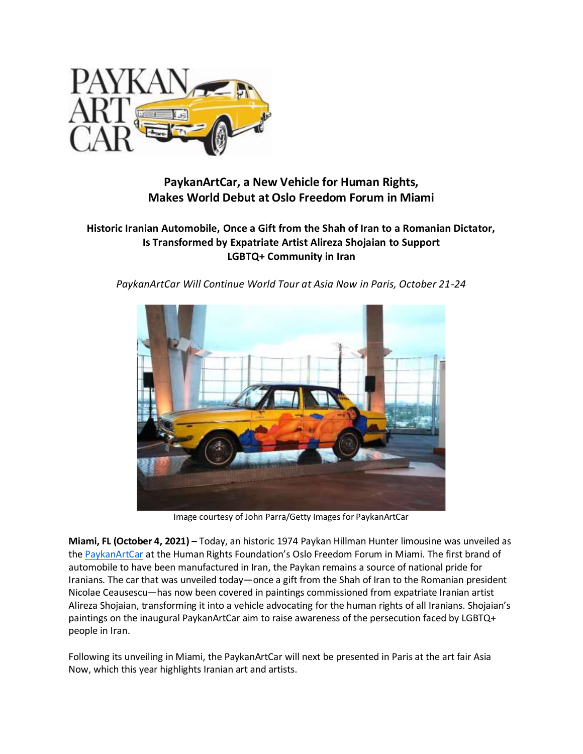

# **PaykanArtCar, a New Vehicle for Human Rights, Makes World Debut at Oslo Freedom Forum in Miami**

# **Historic Iranian Automobile, Once a Gift from the Shah of Iran to a Romanian Dictator, Is Transformed by Expatriate Artist Alireza Shojaian to Support LGBTQ+ Community in Iran**

*PaykanArtCar Will Continue World Tour at Asia Now in Paris, October 21-24*



Image courtesy of John Parra/Getty Images for PaykanArtCar

**Miami, FL (October 4, 2021) –** Today, an historic 1974 Paykan Hillman Hunter limousine was unveiled as the [PaykanArtCar](http://www.paykanartcar.com/) at the Human Rights Foundation's Oslo Freedom Forum in Miami. The first brand of automobile to have been manufactured in Iran, the Paykan remains a source of national pride for Iranians. The car that was unveiled today—once a gift from the Shah of Iran to the Romanian president Nicolae Ceausescu—has now been covered in paintings commissioned from expatriate Iranian artist Alireza Shojaian, transforming it into a vehicle advocating for the human rights of all Iranians. Shojaian's paintings on the inaugural PaykanArtCar aim to raise awareness of the persecution faced by LGBTQ+ people in Iran.

Following its unveiling in Miami, the PaykanArtCar will next be presented in Paris at the art fair Asia Now, which this year highlights Iranian art and artists.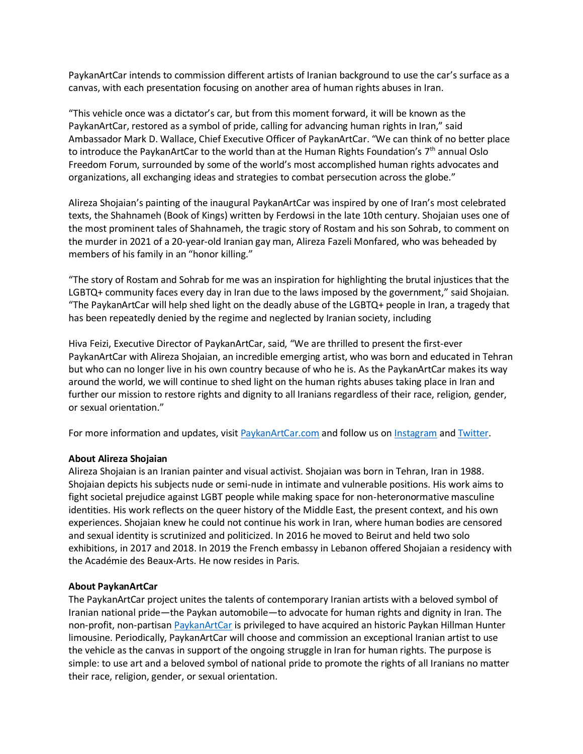PaykanArtCar intends to commission different artists of Iranian background to use the car's surface as a canvas, with each presentation focusing on another area of human rights abuses in Iran.

"This vehicle once was a dictator's car, but from this moment forward, it will be known as the PaykanArtCar, restored as a symbol of pride, calling for advancing human rights in Iran," said Ambassador Mark D. Wallace, Chief Executive Officer of PaykanArtCar. "We can think of no better place to introduce the PaykanArtCar to the world than at the Human Rights Foundation's  $7<sup>th</sup>$  annual Oslo Freedom Forum, surrounded by some of the world's most accomplished human rights advocates and organizations, all exchanging ideas and strategies to combat persecution across the globe."

Alireza Shojaian's painting of the inaugural PaykanArtCar was inspired by one of Iran's most celebrated texts, the Shahnameh (Book of Kings) written by Ferdowsi in the late 10th century. Shojaian uses one of the most prominent tales of Shahnameh, the tragic story of Rostam and his son Sohrab, to comment on the murder in 2021 of a 20-year-old Iranian gay man, Alireza Fazeli Monfared, who was beheaded by members of his family in an "honor killing."

"The story of Rostam and Sohrab for me was an inspiration for highlighting the brutal injustices that the LGBTQ+ community faces every day in Iran due to the laws imposed by the government," said Shojaian. "The PaykanArtCar will help shed light on the deadly abuse of the LGBTQ+ people in Iran, a tragedy that has been repeatedly denied by the regime and neglected by Iranian society, including

Hiva Feizi, Executive Director of PaykanArtCar, said, "We are thrilled to present the first-ever PaykanArtCar with Alireza Shojaian, an incredible emerging artist, who was born and educated in Tehran but who can no longer live in his own country because of who he is. As the PaykanArtCar makes its way around the world, we will continue to shed light on the human rights abuses taking place in Iran and further our mission to restore rights and dignity to all Iranians regardless of their race, religion, gender, or sexual orientation."

For more information and updates, visi[t PaykanArtCar.com](https://paykanartcar.com/) and follow us on [Instagram](https://www.instagram.com/paykanartcar/) an[d Twitter.](https://twitter.com/paykanartcar)

## **About Alireza Shojaian**

Alireza Shojaian is an Iranian painter and visual activist. Shojaian was born in Tehran, Iran in 1988. Shojaian depicts his subjects nude or semi-nude in intimate and vulnerable positions. His work aims to fight societal prejudice against LGBT people while making space for non-heteronormative masculine identities. His work reflects on the queer history of the Middle East, the present context, and his own experiences. Shojaian knew he could not continue his work in Iran, where human bodies are censored and sexual identity is scrutinized and politicized. In 2016 he moved to Beirut and held two solo exhibitions, in 2017 and 2018. In 2019 the French embassy in Lebanon offered Shojaian a residency with the Académie des Beaux-Arts. He now resides in Paris.

## **About PaykanArtCar**

The PaykanArtCar project unites the talents of contemporary Iranian artists with a beloved symbol of Iranian national pride—the Paykan automobile—to advocate for human rights and dignity in Iran. The non-profit, non-partisa[n PaykanArtCar](http://www.paykanartcar.com/) is privileged to have acquired an historic Paykan Hillman Hunter limousine. Periodically, PaykanArtCar will choose and commission an exceptional Iranian artist to use the vehicle as the canvas in support of the ongoing struggle in Iran for human rights. The purpose is simple: to use art and a beloved symbol of national pride to promote the rights of all Iranians no matter their race, religion, gender, or sexual orientation.